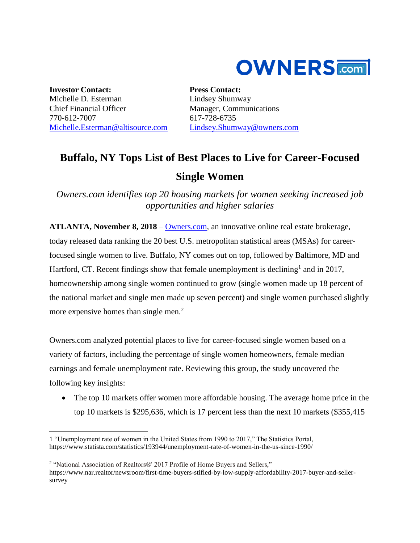

**Investor Contact:** Michelle D. Esterman Chief Financial Officer 770-612-7007 [Michelle.Esterman@altisource.com](mailto:Michelle.Esterman@altisource.com) **Press Contact:** Lindsey Shumway Manager, Communications 617-728-6735 [Lindsey.Shumway@owners.com](mailto:lindsey.shumway@owners.com)

## **Buffalo, NY Tops List of Best Places to Live for Career-Focused Single Women**

*Owners.com identifies top 20 housing markets for women seeking increased job opportunities and higher salaries*

**ATLANTA, November 8, 2018** – [Owners.com,](https://www.owners.com/?utm_source=pr&utm_medium=pr&utm_campaign=singlewomenmarkets&utm_content=first) an innovative online real estate brokerage, today released data ranking the 20 best U.S. metropolitan statistical areas (MSAs) for careerfocused single women to live. Buffalo, NY comes out on top, followed by Baltimore, MD and Hartford, CT. Recent findings show that female unemployment is declining<sup>1</sup> and in 2017, homeownership among single women continued to grow (single women made up 18 percent of the national market and single men made up seven percent) and single women purchased slightly more expensive homes than single men.<sup>2</sup>

Owners.com analyzed potential places to live for career-focused single women based on a variety of factors, including the percentage of single women homeowners, female median earnings and female unemployment rate. Reviewing this group, the study uncovered the following key insights:

• The top 10 markets offer women more affordable housing. The average home price in the top 10 markets is \$295,636, which is 17 percent less than the next 10 markets (\$355,415

<sup>2</sup> "National Association of Realtors®' 2017 Profile of Home Buyers and Sellers,"

 $\overline{a}$ 

<sup>1</sup> "Unemployment rate of women in the United States from 1990 to 2017," The Statistics Portal, <https://www.statista.com/statistics/193944/unemployment-rate-of-women-in-the-us-since-1990/>

https://www.nar.realtor/newsroom/first-time-buyers-stifled-by-low-supply-affordability-2017-buyer-and-sellersurvey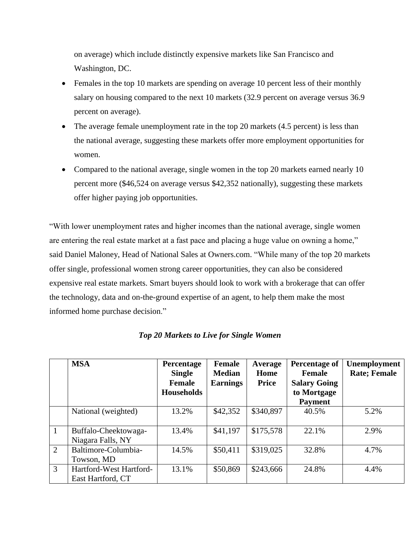on average) which include distinctly expensive markets like San Francisco and Washington, DC.

- Females in the top 10 markets are spending on average 10 percent less of their monthly salary on housing compared to the next 10 markets (32.9 percent on average versus 36.9 percent on average).
- The average female unemployment rate in the top 20 markets (4.5 percent) is less than the national average, suggesting these markets offer more employment opportunities for women.
- Compared to the national average, single women in the top 20 markets earned nearly 10 percent more (\$46,524 on average versus \$42,352 nationally), suggesting these markets offer higher paying job opportunities.

"With lower unemployment rates and higher incomes than the national average, single women are entering the real estate market at a fast pace and placing a huge value on owning a home," said Daniel Maloney, Head of National Sales at Owners.com. "While many of the top 20 markets offer single, professional women strong career opportunities, they can also be considered expensive real estate markets. Smart buyers should look to work with a brokerage that can offer the technology, data and on-the-ground expertise of an agent, to help them make the most informed home purchase decision."

|                | <b>MSA</b>                                   | Percentage        | <b>Female</b>   | Average      | Percentage of       | <b>Unemployment</b>  |
|----------------|----------------------------------------------|-------------------|-----------------|--------------|---------------------|----------------------|
|                |                                              | <b>Single</b>     | <b>Median</b>   | Home         | Female              | <b>Rate</b> ; Female |
|                |                                              | Female            | <b>Earnings</b> | <b>Price</b> | <b>Salary Going</b> |                      |
|                |                                              | <b>Households</b> |                 |              | to Mortgage         |                      |
|                |                                              |                   |                 |              | <b>Payment</b>      |                      |
|                | National (weighted)                          | 13.2%             | \$42,352        | \$340,897    | 40.5%               | 5.2%                 |
| 1              | Buffalo-Cheektowaga-<br>Niagara Falls, NY    | 13.4%             | \$41,197        | \$175,578    | 22.1%               | 2.9%                 |
| $\overline{2}$ | Baltimore-Columbia-<br>Towson, MD            | 14.5%             | \$50,411        | \$319,025    | 32.8%               | 4.7%                 |
| 3              | Hartford-West Hartford-<br>East Hartford, CT | 13.1%             | \$50,869        | \$243,666    | 24.8%               | 4.4%                 |

*Top 20 Markets to Live for Single Women*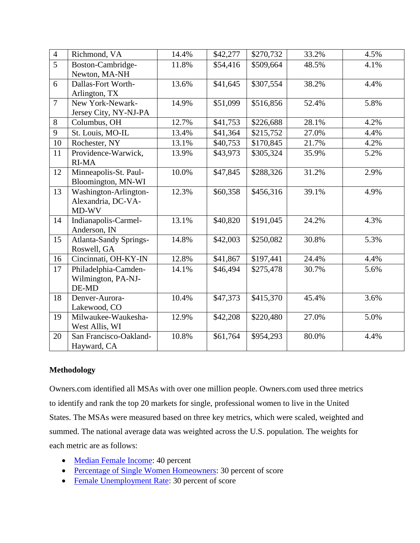| $\overline{4}$ | Richmond, VA                  | 14.4% | \$42,277 | \$270,732 | 33.2% | 4.5% |
|----------------|-------------------------------|-------|----------|-----------|-------|------|
| $\overline{5}$ | Boston-Cambridge-             | 11.8% | \$54,416 | \$509,664 | 48.5% | 4.1% |
|                | Newton, MA-NH                 |       |          |           |       |      |
| 6              | Dallas-Fort Worth-            | 13.6% | \$41,645 | \$307,554 | 38.2% | 4.4% |
|                | Arlington, TX                 |       |          |           |       |      |
| $\overline{7}$ | New York-Newark-              | 14.9% | \$51,099 | \$516,856 | 52.4% | 5.8% |
|                | Jersey City, NY-NJ-PA         |       |          |           |       |      |
| 8              | Columbus, OH                  | 12.7% | \$41,753 | \$226,688 | 28.1% | 4.2% |
| 9              | St. Louis, MO-IL              | 13.4% | \$41,364 | \$215,752 | 27.0% | 4.4% |
| 10             | Rochester, NY                 | 13.1% | \$40,753 | \$170,845 | 21.7% | 4.2% |
| 11             | Providence-Warwick,           | 13.9% | \$43,973 | \$305,324 | 35.9% | 5.2% |
|                | <b>RI-MA</b>                  |       |          |           |       |      |
| 12             | Minneapolis-St. Paul-         | 10.0% | \$47,845 | \$288,326 | 31.2% | 2.9% |
|                | Bloomington, MN-WI            |       |          |           |       |      |
| 13             | Washington-Arlington-         | 12.3% | \$60,358 | \$456,316 | 39.1% | 4.9% |
|                | Alexandria, DC-VA-            |       |          |           |       |      |
|                | MD-WV                         |       |          |           |       |      |
| 14             | Indianapolis-Carmel-          | 13.1% | \$40,820 | \$191,045 | 24.2% | 4.3% |
|                | Anderson, IN                  |       |          |           |       |      |
| 15             | <b>Atlanta-Sandy Springs-</b> | 14.8% | \$42,003 | \$250,082 | 30.8% | 5.3% |
|                | Roswell, GA                   |       |          |           |       |      |
| 16             | Cincinnati, OH-KY-IN          | 12.8% | \$41,867 | \$197,441 | 24.4% | 4.4% |
| 17             | Philadelphia-Camden-          | 14.1% | \$46,494 | \$275,478 | 30.7% | 5.6% |
|                | Wilmington, PA-NJ-            |       |          |           |       |      |
|                | DE-MD                         |       |          |           |       |      |
| 18             | Denver-Aurora-                | 10.4% | \$47,373 | \$415,370 | 45.4% | 3.6% |
|                | Lakewood, CO                  |       |          |           |       |      |
| 19             | Milwaukee-Waukesha-           | 12.9% | \$42,208 | \$220,480 | 27.0% | 5.0% |
|                | West Allis, WI                |       |          |           |       |      |
| 20             | San Francisco-Oakland-        | 10.8% | \$61,764 | \$954,293 | 80.0% | 4.4% |
|                | Hayward, CA                   |       |          |           |       |      |

## **Methodology**

Owners.com identified all MSAs with over one million people. Owners.com used three metrics to identify and rank the top 20 markets for single, professional women to live in the United States. The MSAs were measured based on three key metrics, which were scaled, weighted and summed. The national average data was weighted across the U.S. population. The weights for each metric are as follows:

- [Median Female Income:](https://www.census.gov/) 40 percent
- [Percentage of Single Women Homeowners:](https://www.census.gov/) 30 percent of score
- [Female Unemployment Rate:](https://factfinder.census.gov/faces/tableservices/jsf/pages/productview.xhtml?pid=ACS_16_1YR_S2301&prodType=table) 30 percent of score